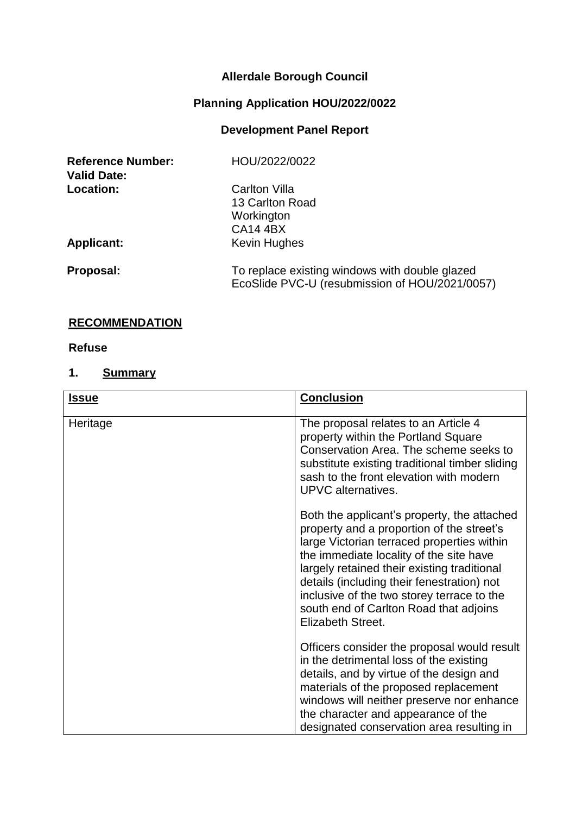# **Allerdale Borough Council**

# **Planning Application HOU/2022/0022**

# **Development Panel Report**

| <b>Reference Number:</b><br><b>Valid Date:</b> | HOU/2022/0022                                                                                    |
|------------------------------------------------|--------------------------------------------------------------------------------------------------|
| Location:                                      | <b>Carlton Villa</b>                                                                             |
|                                                | 13 Carlton Road                                                                                  |
|                                                | Workington                                                                                       |
|                                                | <b>CA14 4BX</b>                                                                                  |
| <b>Applicant:</b>                              | Kevin Hughes                                                                                     |
| Proposal:                                      | To replace existing windows with double glazed<br>EcoSlide PVC-U (resubmission of HOU/2021/0057) |

# **RECOMMENDATION**

#### **Refuse**

# **1. Summary**

| <b>Issue</b> | <b>Conclusion</b>                                                                                                                                                                                                                                                                                                                                                                           |
|--------------|---------------------------------------------------------------------------------------------------------------------------------------------------------------------------------------------------------------------------------------------------------------------------------------------------------------------------------------------------------------------------------------------|
| Heritage     | The proposal relates to an Article 4<br>property within the Portland Square<br>Conservation Area. The scheme seeks to<br>substitute existing traditional timber sliding<br>sash to the front elevation with modern<br>UPVC alternatives.                                                                                                                                                    |
|              | Both the applicant's property, the attached<br>property and a proportion of the street's<br>large Victorian terraced properties within<br>the immediate locality of the site have<br>largely retained their existing traditional<br>details (including their fenestration) not<br>inclusive of the two storey terrace to the<br>south end of Carlton Road that adjoins<br>Elizabeth Street. |
|              | Officers consider the proposal would result<br>in the detrimental loss of the existing<br>details, and by virtue of the design and<br>materials of the proposed replacement<br>windows will neither preserve nor enhance<br>the character and appearance of the<br>designated conservation area resulting in                                                                                |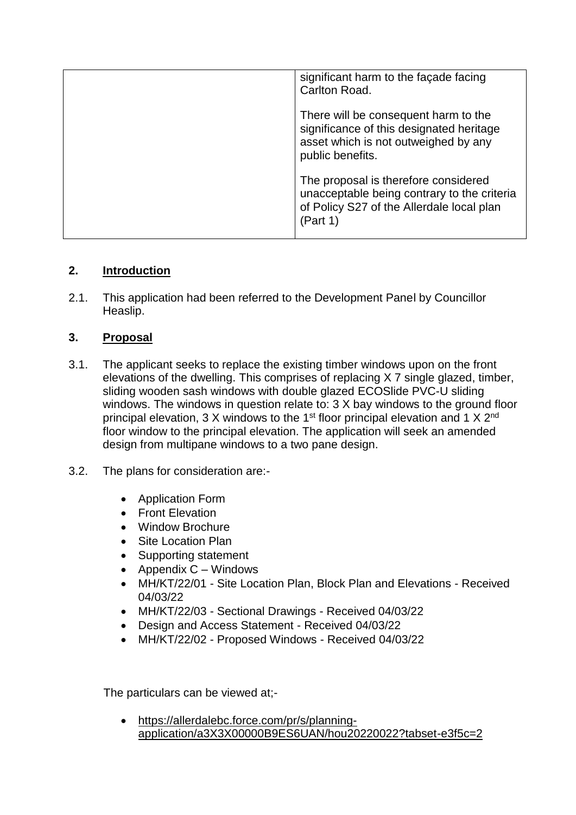| significant harm to the facade facing<br>Carlton Road.                                                                                       |
|----------------------------------------------------------------------------------------------------------------------------------------------|
| There will be consequent harm to the<br>significance of this designated heritage<br>asset which is not outweighed by any<br>public benefits. |
| The proposal is therefore considered<br>unacceptable being contrary to the criteria<br>of Policy S27 of the Allerdale local plan<br>(Part 1) |

# **2. Introduction**

2.1. This application had been referred to the Development Panel by Councillor Heaslip.

# **3. Proposal**

- 3.1. The applicant seeks to replace the existing timber windows upon on the front elevations of the dwelling. This comprises of replacing X 7 single glazed, timber, sliding wooden sash windows with double glazed ECOSlide PVC-U sliding windows. The windows in question relate to: 3 X bay windows to the ground floor principal elevation, 3 X windows to the 1<sup>st</sup> floor principal elevation and 1 X 2<sup>nd</sup> floor window to the principal elevation. The application will seek an amended design from multipane windows to a two pane design.
- 3.2. The plans for consideration are:-
	- Application Form
	- Front Elevation
	- Window Brochure
	- Site Location Plan
	- Supporting statement
	- Appendix  $C -$  Windows
	- MH/KT/22/01 Site Location Plan, Block Plan and Elevations Received 04/03/22
	- MH/KT/22/03 Sectional Drawings Received 04/03/22
	- Design and Access Statement Received 04/03/22
	- MH/KT/22/02 Proposed Windows Received 04/03/22

The particulars can be viewed at;-

 https://allerdalebc.force.com/pr/s/planningapplication/a3X3X00000B9ES6UAN/hou20220022?tabset-e3f5c=2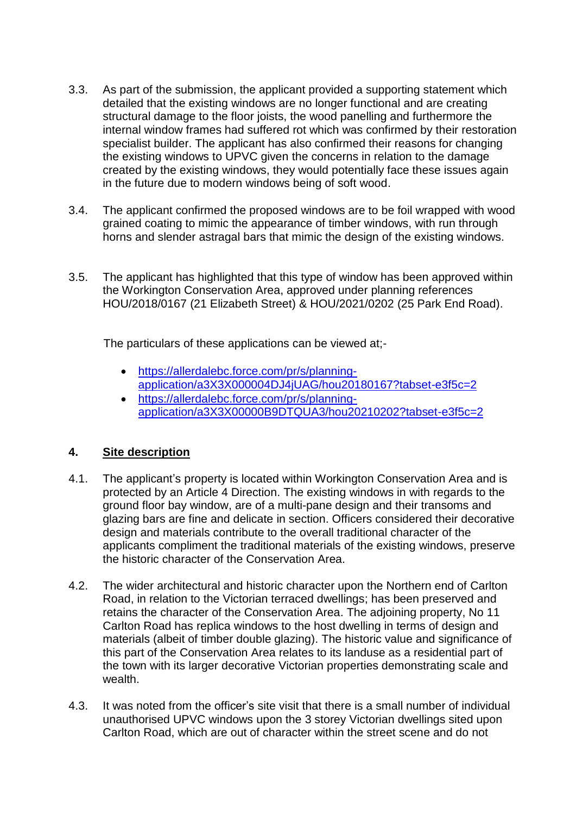- 3.3. As part of the submission, the applicant provided a supporting statement which detailed that the existing windows are no longer functional and are creating structural damage to the floor joists, the wood panelling and furthermore the internal window frames had suffered rot which was confirmed by their restoration specialist builder. The applicant has also confirmed their reasons for changing the existing windows to UPVC given the concerns in relation to the damage created by the existing windows, they would potentially face these issues again in the future due to modern windows being of soft wood.
- 3.4. The applicant confirmed the proposed windows are to be foil wrapped with wood grained coating to mimic the appearance of timber windows, with run through horns and slender astragal bars that mimic the design of the existing windows.
- 3.5. The applicant has highlighted that this type of window has been approved within the Workington Conservation Area, approved under planning references HOU/2018/0167 (21 Elizabeth Street) & HOU/2021/0202 (25 Park End Road).

The particulars of these applications can be viewed at;-

- [https://allerdalebc.force.com/pr/s/planning](https://allerdalebc.force.com/pr/s/planning-application/a3X3X000004DJ4jUAG/hou20180167?tabset-e3f5c=2)[application/a3X3X000004DJ4jUAG/hou20180167?tabset-e3f5c=2](https://allerdalebc.force.com/pr/s/planning-application/a3X3X000004DJ4jUAG/hou20180167?tabset-e3f5c=2)
- [https://allerdalebc.force.com/pr/s/planning](https://allerdalebc.force.com/pr/s/planning-application/a3X3X00000B9DTQUA3/hou20210202?tabset-e3f5c=2)[application/a3X3X00000B9DTQUA3/hou20210202?tabset-e3f5c=2](https://allerdalebc.force.com/pr/s/planning-application/a3X3X00000B9DTQUA3/hou20210202?tabset-e3f5c=2)

# **4. Site description**

- 4.1. The applicant's property is located within Workington Conservation Area and is protected by an Article 4 Direction. The existing windows in with regards to the ground floor bay window, are of a multi-pane design and their transoms and glazing bars are fine and delicate in section. Officers considered their decorative design and materials contribute to the overall traditional character of the applicants compliment the traditional materials of the existing windows, preserve the historic character of the Conservation Area.
- 4.2. The wider architectural and historic character upon the Northern end of Carlton Road, in relation to the Victorian terraced dwellings; has been preserved and retains the character of the Conservation Area. The adjoining property, No 11 Carlton Road has replica windows to the host dwelling in terms of design and materials (albeit of timber double glazing). The historic value and significance of this part of the Conservation Area relates to its landuse as a residential part of the town with its larger decorative Victorian properties demonstrating scale and wealth.
- 4.3. It was noted from the officer's site visit that there is a small number of individual unauthorised UPVC windows upon the 3 storey Victorian dwellings sited upon Carlton Road, which are out of character within the street scene and do not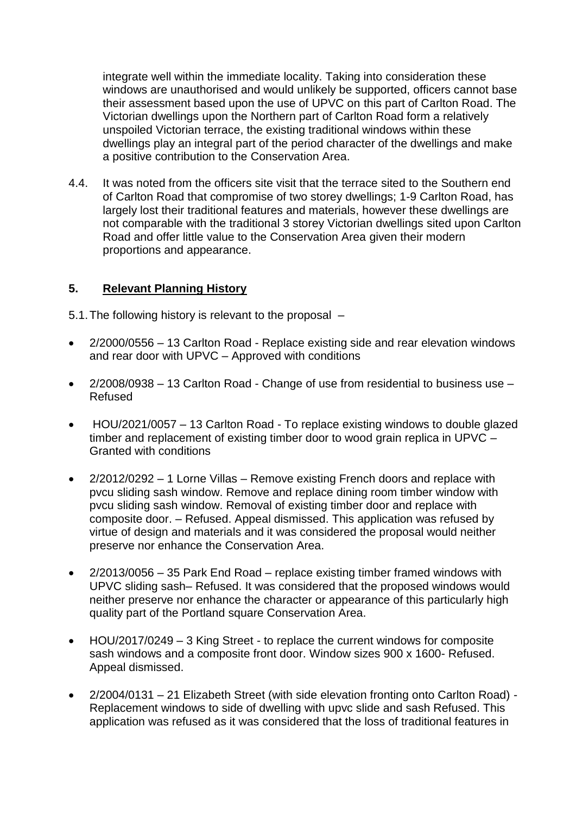integrate well within the immediate locality. Taking into consideration these windows are unauthorised and would unlikely be supported, officers cannot base their assessment based upon the use of UPVC on this part of Carlton Road. The Victorian dwellings upon the Northern part of Carlton Road form a relatively unspoiled Victorian terrace, the existing traditional windows within these dwellings play an integral part of the period character of the dwellings and make a positive contribution to the Conservation Area.

4.4. It was noted from the officers site visit that the terrace sited to the Southern end of Carlton Road that compromise of two storey dwellings; 1-9 Carlton Road, has largely lost their traditional features and materials, however these dwellings are not comparable with the traditional 3 storey Victorian dwellings sited upon Carlton Road and offer little value to the Conservation Area given their modern proportions and appearance.

# **5. Relevant Planning History**

5.1.The following history is relevant to the proposal –

- 2/2000/0556 13 Carlton Road Replace existing side and rear elevation windows and rear door with UPVC – Approved with conditions
- 2/2008/0938 13 Carlton Road Change of use from residential to business use Refused
- HOU/2021/0057 13 Carlton Road To replace existing windows to double glazed timber and replacement of existing timber door to wood grain replica in UPVC – Granted with conditions
- 2/2012/0292 1 Lorne Villas Remove existing French doors and replace with pvcu sliding sash window. Remove and replace dining room timber window with pvcu sliding sash window. Removal of existing timber door and replace with composite door. – Refused. Appeal dismissed. This application was refused by virtue of design and materials and it was considered the proposal would neither preserve nor enhance the Conservation Area.
- 2/2013/0056 35 Park End Road replace existing timber framed windows with UPVC sliding sash– Refused. It was considered that the proposed windows would neither preserve nor enhance the character or appearance of this particularly high quality part of the Portland square Conservation Area.
- HOU/2017/0249 3 King Street to replace the current windows for composite sash windows and a composite front door. Window sizes 900 x 1600- Refused. Appeal dismissed.
- 2/2004/0131 21 Elizabeth Street (with side elevation fronting onto Carlton Road) Replacement windows to side of dwelling with upvc slide and sash Refused. This application was refused as it was considered that the loss of traditional features in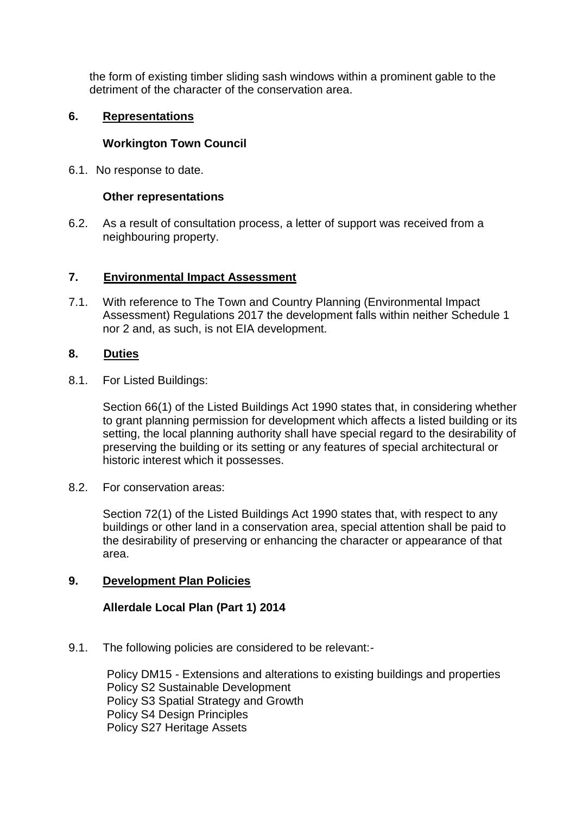the form of existing timber sliding sash windows within a prominent gable to the detriment of the character of the conservation area.

#### **6. Representations**

#### **Workington Town Council**

6.1. No response to date.

#### **Other representations**

6.2. As a result of consultation process, a letter of support was received from a neighbouring property.

#### **7. Environmental Impact Assessment**

7.1. With reference to The Town and Country Planning (Environmental Impact Assessment) Regulations 2017 the development falls within neither Schedule 1 nor 2 and, as such, is not EIA development.

#### **8. Duties**

8.1. For Listed Buildings:

Section 66(1) of the Listed Buildings Act 1990 states that, in considering whether to grant planning permission for development which affects a listed building or its setting, the local planning authority shall have special regard to the desirability of preserving the building or its setting or any features of special architectural or historic interest which it possesses.

8.2. For conservation areas:

Section 72(1) of the Listed Buildings Act 1990 states that, with respect to any buildings or other land in a conservation area, special attention shall be paid to the desirability of preserving or enhancing the character or appearance of that area.

# **9. Development Plan Policies**

# **Allerdale Local Plan (Part 1) 2014**

9.1. The following policies are considered to be relevant:-

Policy DM15 - Extensions and alterations to existing buildings and properties Policy S2 Sustainable Development Policy S3 Spatial Strategy and Growth Policy S4 Design Principles Policy S27 Heritage Assets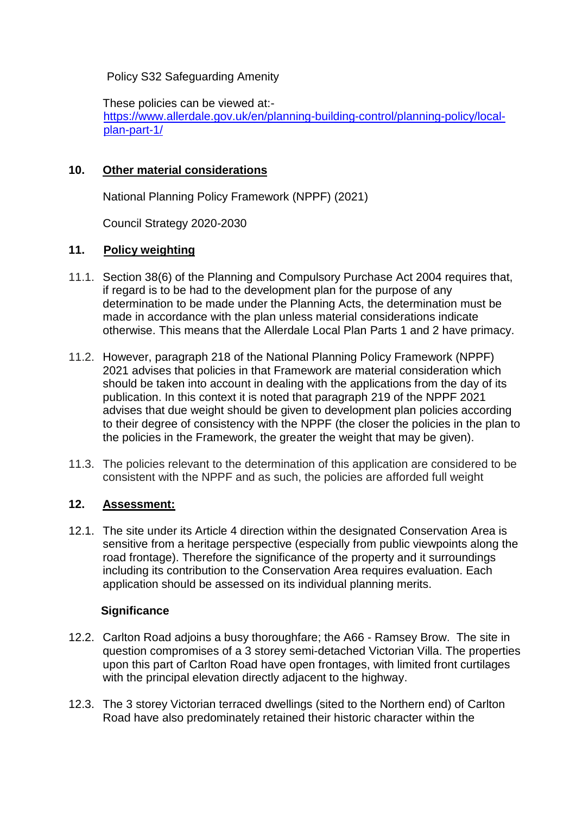Policy S32 Safeguarding Amenity

These policies can be viewed at: [https://www.allerdale.gov.uk/en/planning-building-control/planning-policy/local](https://www.allerdale.gov.uk/en/planning-building-control/planning-policy/local-plan-part-1/)[plan-part-1/](https://www.allerdale.gov.uk/en/planning-building-control/planning-policy/local-plan-part-1/)

#### **10. Other material considerations**

National Planning Policy Framework (NPPF) (2021)

Council Strategy 2020-2030

#### **11. Policy weighting**

- 11.1. Section 38(6) of the Planning and Compulsory Purchase Act 2004 requires that, if regard is to be had to the development plan for the purpose of any determination to be made under the Planning Acts, the determination must be made in accordance with the plan unless material considerations indicate otherwise. This means that the Allerdale Local Plan Parts 1 and 2 have primacy.
- 11.2. However, paragraph 218 of the National Planning Policy Framework (NPPF) 2021 advises that policies in that Framework are material consideration which should be taken into account in dealing with the applications from the day of its publication. In this context it is noted that paragraph 219 of the NPPF 2021 advises that due weight should be given to development plan policies according to their degree of consistency with the NPPF (the closer the policies in the plan to the policies in the Framework, the greater the weight that may be given).
- 11.3. The policies relevant to the determination of this application are considered to be consistent with the NPPF and as such, the policies are afforded full weight

# **12. Assessment:**

12.1. The site under its Article 4 direction within the designated Conservation Area is sensitive from a heritage perspective (especially from public viewpoints along the road frontage). Therefore the significance of the property and it surroundings including its contribution to the Conservation Area requires evaluation. Each application should be assessed on its individual planning merits.

# **Significance**

- 12.2. Carlton Road adjoins a busy thoroughfare; the A66 Ramsey Brow. The site in question compromises of a 3 storey semi-detached Victorian Villa. The properties upon this part of Carlton Road have open frontages, with limited front curtilages with the principal elevation directly adjacent to the highway.
- 12.3. The 3 storey Victorian terraced dwellings (sited to the Northern end) of Carlton Road have also predominately retained their historic character within the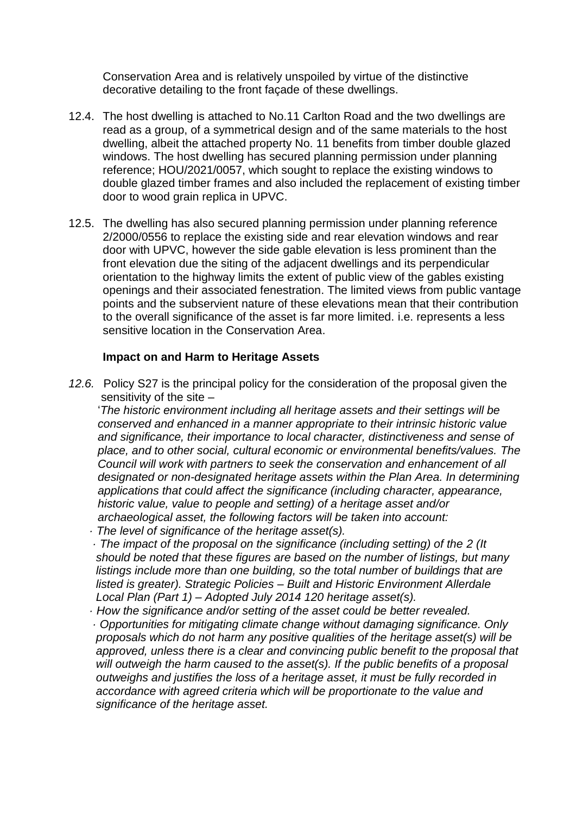Conservation Area and is relatively unspoiled by virtue of the distinctive decorative detailing to the front façade of these dwellings.

- 12.4. The host dwelling is attached to No.11 Carlton Road and the two dwellings are read as a group, of a symmetrical design and of the same materials to the host dwelling, albeit the attached property No. 11 benefits from timber double glazed windows. The host dwelling has secured planning permission under planning reference; HOU/2021/0057, which sought to replace the existing windows to double glazed timber frames and also included the replacement of existing timber door to wood grain replica in UPVC.
- 12.5. The dwelling has also secured planning permission under planning reference 2/2000/0556 to replace the existing side and rear elevation windows and rear door with UPVC, however the side gable elevation is less prominent than the front elevation due the siting of the adjacent dwellings and its perpendicular orientation to the highway limits the extent of public view of the gables existing openings and their associated fenestration. The limited views from public vantage points and the subservient nature of these elevations mean that their contribution to the overall significance of the asset is far more limited. i.e. represents a less sensitive location in the Conservation Area.

#### **Impact on and Harm to Heritage Assets**

*12.6.* Policy S27 is the principal policy for the consideration of the proposal given the sensitivity of the site –

 '*The historic environment including all heritage assets and their settings will be conserved and enhanced in a manner appropriate to their intrinsic historic value and significance, their importance to local character, distinctiveness and sense of place, and to other social, cultural economic or environmental benefits/values. The Council will work with partners to seek the conservation and enhancement of all designated or non-designated heritage assets within the Plan Area. In determining applications that could affect the significance (including character, appearance, historic value, value to people and setting) of a heritage asset and/or archaeological asset, the following factors will be taken into account:* 

- *· The level of significance of the heritage asset(s).*
- *· The impact of the proposal on the significance (including setting) of the 2 (It should be noted that these figures are based on the number of listings, but many listings include more than one building, so the total number of buildings that are listed is greater). Strategic Policies – Built and Historic Environment Allerdale Local Plan (Part 1) – Adopted July 2014 120 heritage asset(s).*
- *· How the significance and/or setting of the asset could be better revealed. · Opportunities for mitigating climate change without damaging significance. Only proposals which do not harm any positive qualities of the heritage asset(s) will be approved, unless there is a clear and convincing public benefit to the proposal that will outweigh the harm caused to the asset(s). If the public benefits of a proposal outweighs and justifies the loss of a heritage asset, it must be fully recorded in accordance with agreed criteria which will be proportionate to the value and significance of the heritage asset.*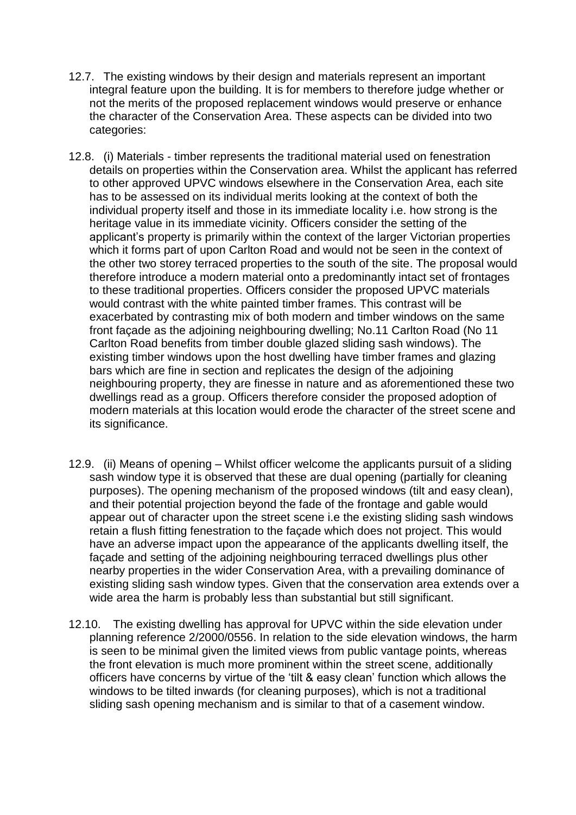- 12.7. The existing windows by their design and materials represent an important integral feature upon the building. It is for members to therefore judge whether or not the merits of the proposed replacement windows would preserve or enhance the character of the Conservation Area. These aspects can be divided into two categories:
- 12.8. (i) Materials timber represents the traditional material used on fenestration details on properties within the Conservation area. Whilst the applicant has referred to other approved UPVC windows elsewhere in the Conservation Area, each site has to be assessed on its individual merits looking at the context of both the individual property itself and those in its immediate locality i.e. how strong is the heritage value in its immediate vicinity. Officers consider the setting of the applicant's property is primarily within the context of the larger Victorian properties which it forms part of upon Carlton Road and would not be seen in the context of the other two storey terraced properties to the south of the site. The proposal would therefore introduce a modern material onto a predominantly intact set of frontages to these traditional properties. Officers consider the proposed UPVC materials would contrast with the white painted timber frames. This contrast will be exacerbated by contrasting mix of both modern and timber windows on the same front façade as the adjoining neighbouring dwelling; No.11 Carlton Road (No 11 Carlton Road benefits from timber double glazed sliding sash windows). The existing timber windows upon the host dwelling have timber frames and glazing bars which are fine in section and replicates the design of the adjoining neighbouring property, they are finesse in nature and as aforementioned these two dwellings read as a group. Officers therefore consider the proposed adoption of modern materials at this location would erode the character of the street scene and its significance.
- 12.9. (ii) Means of opening Whilst officer welcome the applicants pursuit of a sliding sash window type it is observed that these are dual opening (partially for cleaning purposes). The opening mechanism of the proposed windows (tilt and easy clean), and their potential projection beyond the fade of the frontage and gable would appear out of character upon the street scene i.e the existing sliding sash windows retain a flush fitting fenestration to the façade which does not project. This would have an adverse impact upon the appearance of the applicants dwelling itself, the façade and setting of the adjoining neighbouring terraced dwellings plus other nearby properties in the wider Conservation Area, with a prevailing dominance of existing sliding sash window types. Given that the conservation area extends over a wide area the harm is probably less than substantial but still significant.
- 12.10. The existing dwelling has approval for UPVC within the side elevation under planning reference 2/2000/0556. In relation to the side elevation windows, the harm is seen to be minimal given the limited views from public vantage points, whereas the front elevation is much more prominent within the street scene, additionally officers have concerns by virtue of the 'tilt & easy clean' function which allows the windows to be tilted inwards (for cleaning purposes), which is not a traditional sliding sash opening mechanism and is similar to that of a casement window.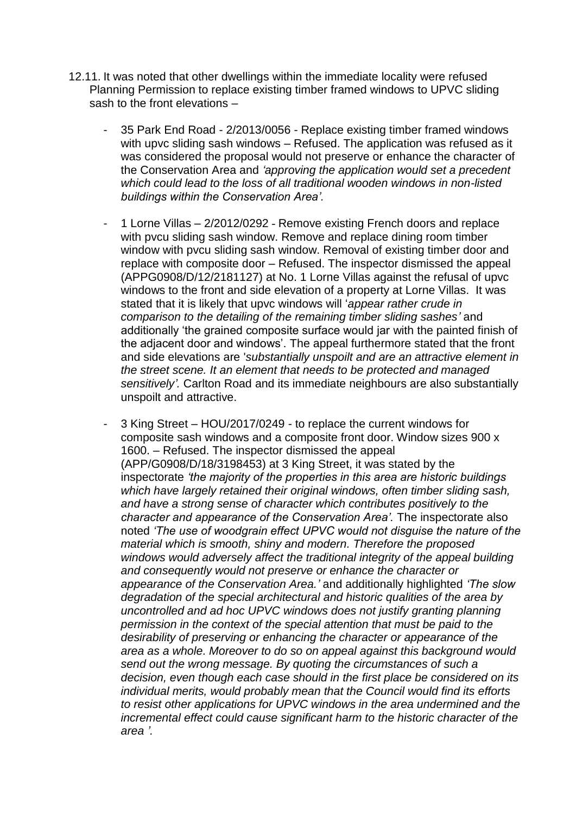- 12.11. It was noted that other dwellings within the immediate locality were refused Planning Permission to replace existing timber framed windows to UPVC sliding sash to the front elevations –
	- 35 Park End Road 2/2013/0056 Replace existing timber framed windows with upvc sliding sash windows – Refused. The application was refused as it was considered the proposal would not preserve or enhance the character of the Conservation Area and *'approving the application would set a precedent which could lead to the loss of all traditional wooden windows in non-listed buildings within the Conservation Area'.*
	- 1 Lorne Villas 2/2012/0292 Remove existing French doors and replace with pvcu sliding sash window. Remove and replace dining room timber window with pvcu sliding sash window. Removal of existing timber door and replace with composite door – Refused. The inspector dismissed the appeal (APPG0908/D/12/2181127) at No. 1 Lorne Villas against the refusal of upvc windows to the front and side elevation of a property at Lorne Villas. It was stated that it is likely that upvc windows will '*appear rather crude in comparison to the detailing of the remaining timber sliding sashes'* and additionally 'the grained composite surface would jar with the painted finish of the adjacent door and windows'. The appeal furthermore stated that the front and side elevations are '*substantially unspoilt and are an attractive element in the street scene. It an element that needs to be protected and managed sensitively'.* Carlton Road and its immediate neighbours are also substantially unspoilt and attractive.
	- 3 King Street HOU/2017/0249 to replace the current windows for composite sash windows and a composite front door. Window sizes 900 x 1600. – Refused. The inspector dismissed the appeal (APP/G0908/D/18/3198453) at 3 King Street, it was stated by the inspectorate *'the majority of the properties in this area are historic buildings which have largely retained their original windows, often timber sliding sash, and have a strong sense of character which contributes positively to the character and appearance of the Conservation Area'.* The inspectorate also noted *'The use of woodgrain effect UPVC would not disguise the nature of the material which is smooth, shiny and modern. Therefore the proposed windows would adversely affect the traditional integrity of the appeal building and consequently would not preserve or enhance the character or appearance of the Conservation Area.'* and additionally highlighted *'The slow degradation of the special architectural and historic qualities of the area by uncontrolled and ad hoc UPVC windows does not justify granting planning permission in the context of the special attention that must be paid to the desirability of preserving or enhancing the character or appearance of the area as a whole. Moreover to do so on appeal against this background would send out the wrong message. By quoting the circumstances of such a decision, even though each case should in the first place be considered on its individual merits, would probably mean that the Council would find its efforts to resist other applications for UPVC windows in the area undermined and the incremental effect could cause significant harm to the historic character of the area '.*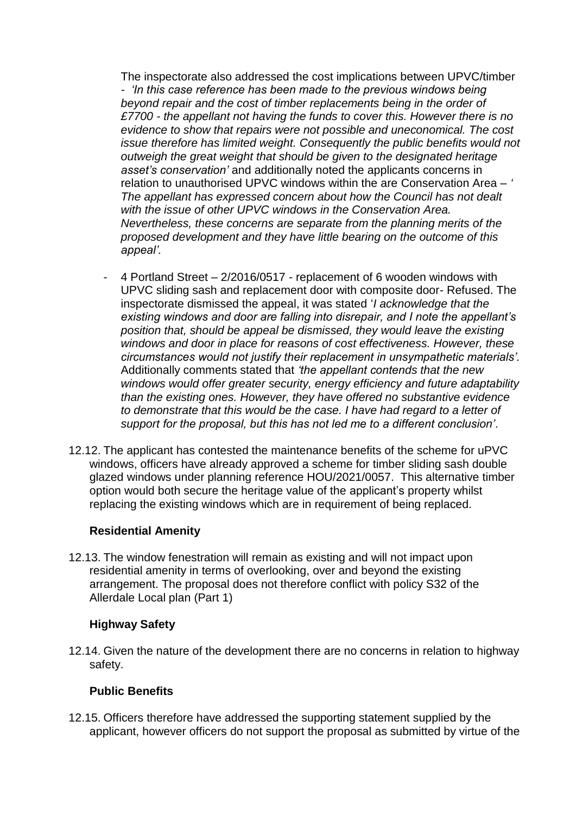The inspectorate also addressed the cost implications between UPVC/timber *- 'In this case reference has been made to the previous windows being beyond repair and the cost of timber replacements being in the order of £7700 - the appellant not having the funds to cover this. However there is no evidence to show that repairs were not possible and uneconomical. The cost issue therefore has limited weight. Consequently the public benefits would not outweigh the great weight that should be given to the designated heritage asset's conservation'* and additionally noted the applicants concerns in relation to unauthorised UPVC windows within the are Conservation Area – *' The appellant has expressed concern about how the Council has not dealt with the issue of other UPVC windows in the Conservation Area. Nevertheless, these concerns are separate from the planning merits of the proposed development and they have little bearing on the outcome of this appeal'.*

- 4 Portland Street 2/2016/0517 replacement of 6 wooden windows with UPVC sliding sash and replacement door with composite door- Refused. The inspectorate dismissed the appeal, it was stated '*I acknowledge that the existing windows and door are falling into disrepair, and I note the appellant's position that, should be appeal be dismissed, they would leave the existing windows and door in place for reasons of cost effectiveness. However, these circumstances would not justify their replacement in unsympathetic materials'.* Additionally comments stated that *'the appellant contends that the new windows would offer greater security, energy efficiency and future adaptability than the existing ones. However, they have offered no substantive evidence to demonstrate that this would be the case. I have had regard to a letter of support for the proposal, but this has not led me to a different conclusion'*.
- 12.12. The applicant has contested the maintenance benefits of the scheme for uPVC windows, officers have already approved a scheme for timber sliding sash double glazed windows under planning reference HOU/2021/0057. This alternative timber option would both secure the heritage value of the applicant's property whilst replacing the existing windows which are in requirement of being replaced.

#### **Residential Amenity**

12.13. The window fenestration will remain as existing and will not impact upon residential amenity in terms of overlooking, over and beyond the existing arrangement. The proposal does not therefore conflict with policy S32 of the Allerdale Local plan (Part 1)

#### **Highway Safety**

12.14. Given the nature of the development there are no concerns in relation to highway safety.

# **Public Benefits**

12.15. Officers therefore have addressed the supporting statement supplied by the applicant, however officers do not support the proposal as submitted by virtue of the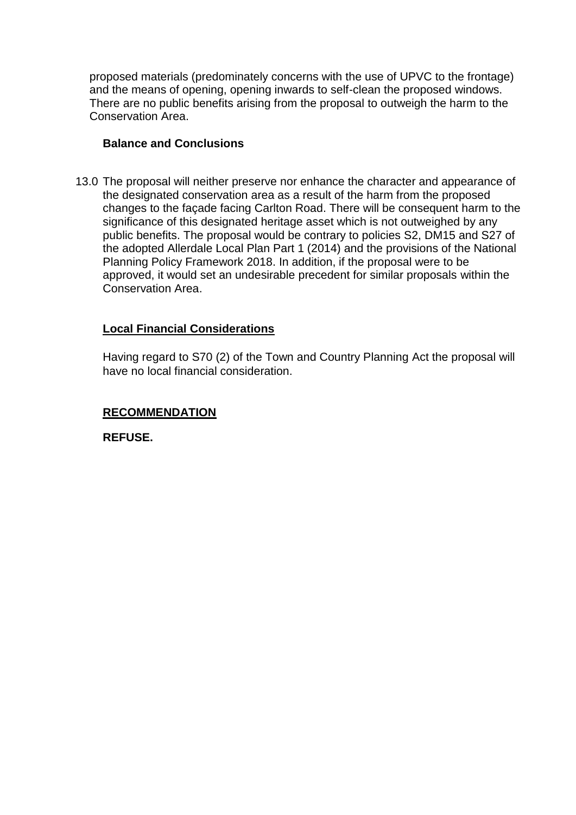proposed materials (predominately concerns with the use of UPVC to the frontage) and the means of opening, opening inwards to self-clean the proposed windows. There are no public benefits arising from the proposal to outweigh the harm to the Conservation Area.

#### **Balance and Conclusions**

13.0 The proposal will neither preserve nor enhance the character and appearance of the designated conservation area as a result of the harm from the proposed changes to the façade facing Carlton Road. There will be consequent harm to the significance of this designated heritage asset which is not outweighed by any public benefits. The proposal would be contrary to policies S2, DM15 and S27 of the adopted Allerdale Local Plan Part 1 (2014) and the provisions of the National Planning Policy Framework 2018. In addition, if the proposal were to be approved, it would set an undesirable precedent for similar proposals within the Conservation Area.

# **Local Financial Considerations**

Having regard to S70 (2) of the Town and Country Planning Act the proposal will have no local financial consideration.

#### **RECOMMENDATION**

**REFUSE.**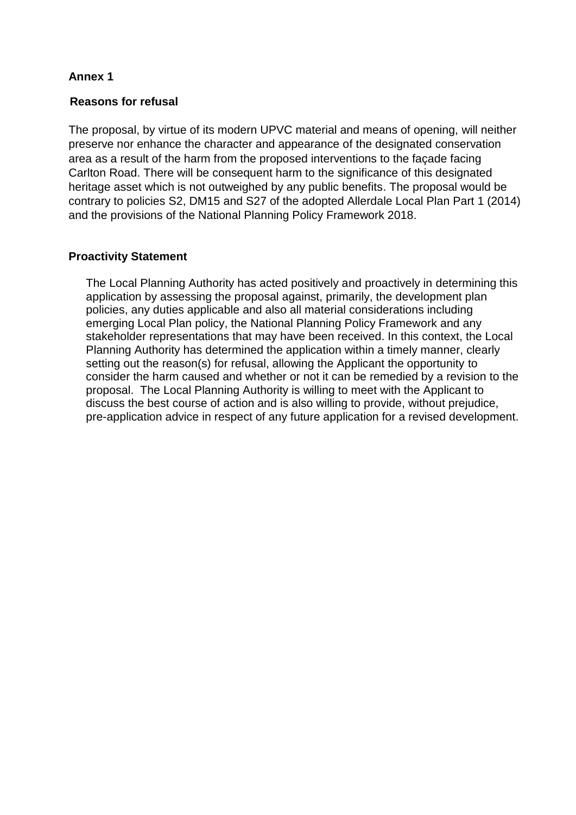# **Annex 1**

#### **Reasons for refusal**

The proposal, by virtue of its modern UPVC material and means of opening, will neither preserve nor enhance the character and appearance of the designated conservation area as a result of the harm from the proposed interventions to the façade facing Carlton Road. There will be consequent harm to the significance of this designated heritage asset which is not outweighed by any public benefits. The proposal would be contrary to policies S2, DM15 and S27 of the adopted Allerdale Local Plan Part 1 (2014) and the provisions of the National Planning Policy Framework 2018.

#### **Proactivity Statement**

The Local Planning Authority has acted positively and proactively in determining this application by assessing the proposal against, primarily, the development plan policies, any duties applicable and also all material considerations including emerging Local Plan policy, the National Planning Policy Framework and any stakeholder representations that may have been received. In this context, the Local Planning Authority has determined the application within a timely manner, clearly setting out the reason(s) for refusal, allowing the Applicant the opportunity to consider the harm caused and whether or not it can be remedied by a revision to the proposal. The Local Planning Authority is willing to meet with the Applicant to discuss the best course of action and is also willing to provide, without prejudice, pre-application advice in respect of any future application for a revised development.